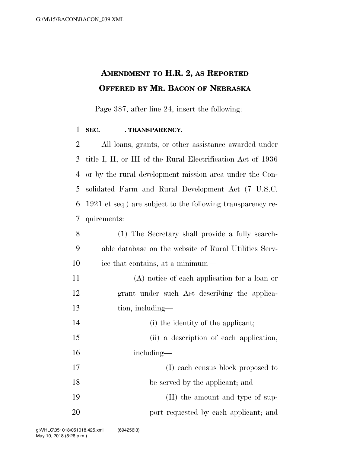## **AMENDMENT TO H.R. 2, AS REPORTED OFFERED BY MR. BACON OF NEBRASKA**

Page 387, after line 24, insert the following:

## 1 SEC. TRANSPARENCY.

 All loans, grants, or other assistance awarded under title I, II, or III of the Rural Electrification Act of 1936 or by the rural development mission area under the Con- solidated Farm and Rural Development Act (7 U.S.C. 1921 et seq.) are subject to the following transparency re-quirements:

- (1) The Secretary shall provide a fully search- able database on the website of Rural Utilities Serv-ice that contains, at a minimum—
- (A) notice of each application for a loan or grant under such Act describing the applica-tion, including—
- 14 (i) the identity of the applicant;
- (ii) a description of each application, including—
- 17 (I) each census block proposed to be served by the applicant; and 19 (II) the amount and type of sup-**port requested by each applicant**; and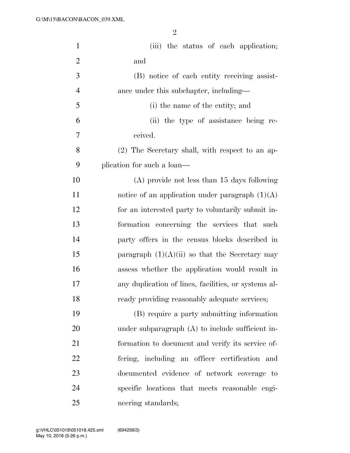| $\mathbf{1}$   | (iii) the status of each application;                |
|----------------|------------------------------------------------------|
| $\overline{2}$ | and                                                  |
| 3              | (B) notice of each entity receiving assist-          |
| $\overline{4}$ | ance under this subchapter, including-               |
| 5              | (i) the name of the entity; and                      |
| 6              | (ii) the type of assistance being re-                |
| 7              | ceived.                                              |
| 8              | (2) The Secretary shall, with respect to an ap-      |
| 9              | plication for such a loan—                           |
| 10             | $(A)$ provide not less than 15 days following        |
| 11             | notice of an application under paragraph $(1)(A)$    |
| 12             | for an interested party to voluntarily submit in-    |
| 13             | formation concerning the services that such          |
| 14             | party offers in the census blocks described in       |
| 15             | paragraph $(1)(A)(ii)$ so that the Secretary may     |
| 16             | assess whether the application would result in       |
| 17             | any duplication of lines, facilities, or systems al- |
| 18             | ready providing reasonably adequate services;        |
| 19             | (B) require a party submitting information           |
| 20             | under subparagraph $(A)$ to include sufficient in-   |
| 21             | formation to document and verify its service of-     |
| 22             | fering, including an officer certification and       |
| 23             | documented evidence of network coverage to           |
| 24             | specific locations that meets reasonable engi-       |
| 25             | neering standards;                                   |